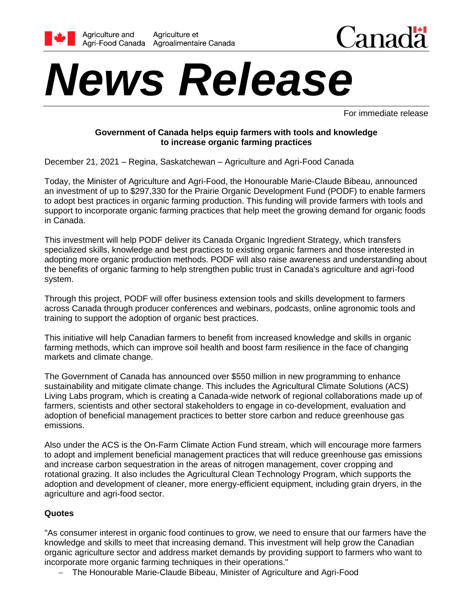



# *News Release*

For immediate release

# **Government of Canada helps equip farmers with tools and knowledge to increase organic farming practices**

December 21, 2021 – Regina, Saskatchewan – Agriculture and Agri-Food Canada

Today, the Minister of Agriculture and Agri-Food, the Honourable Marie-Claude Bibeau, announced an investment of up to \$297,330 for the Prairie Organic Development Fund (PODF) to enable farmers to adopt best practices in organic farming production. This funding will provide farmers with tools and support to incorporate organic farming practices that help meet the growing demand for organic foods in Canada.

This investment will help PODF deliver its Canada Organic Ingredient Strategy, which transfers specialized skills, knowledge and best practices to existing organic farmers and those interested in adopting more organic production methods. PODF will also raise awareness and understanding about the benefits of organic farming to help strengthen public trust in Canada's agriculture and agri-food system.

Through this project, PODF will offer business extension tools and skills development to farmers across Canada through producer conferences and webinars, podcasts, online agronomic tools and training to support the adoption of organic best practices.

This initiative will help Canadian farmers to benefit from increased knowledge and skills in organic farming methods, which can improve soil health and boost farm resilience in the face of changing markets and climate change.

The Government of Canada has announced over \$550 million in new programming to enhance sustainability and mitigate climate change. This includes the Agricultural Climate Solutions (ACS) Living Labs program, which is creating a Canada-wide network of regional collaborations made up of farmers, scientists and other sectoral stakeholders to engage in co-development, evaluation and adoption of beneficial management practices to better store carbon and reduce greenhouse gas emissions.

Also under the ACS is the On-Farm Climate Action Fund stream, which will encourage more farmers to adopt and implement beneficial management practices that will reduce greenhouse gas emissions and increase carbon sequestration in the areas of nitrogen management, cover cropping and rotational grazing. It also includes the Agricultural Clean Technology Program, which supports the adoption and development of cleaner, more energy-efficient equipment, including grain dryers, in the agriculture and agri-food sector.

# **Quotes**

"As consumer interest in organic food continues to grow, we need to ensure that our farmers have the knowledge and skills to meet that increasing demand. This investment will help grow the Canadian organic agriculture sector and address market demands by providing support to farmers who want to incorporate more organic farming techniques in their operations."

The Honourable Marie-Claude Bibeau, Minister of Agriculture and Agri-Food